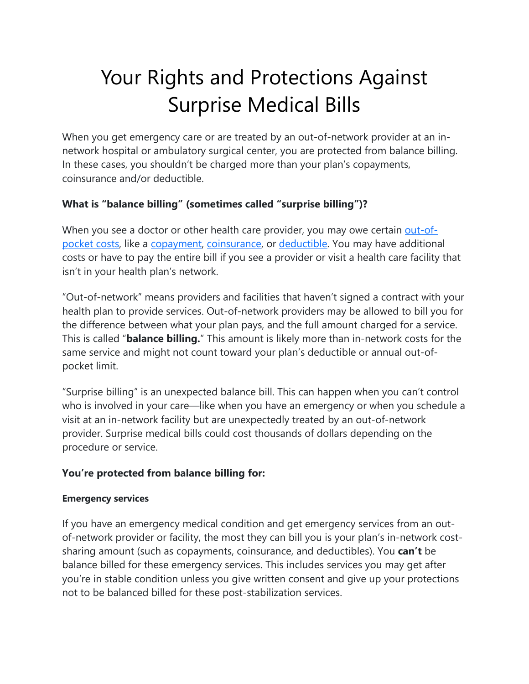# Your Rights and Protections Against Surprise Medical Bills

When you get emergency care or are treated by an out-of-network provider at an innetwork hospital or ambulatory surgical center, you are protected from balance billing. In these cases, you shouldn't be charged more than your plan's copayments, coinsurance and/or deductible.

## **What is "balance billing" (sometimes called "surprise billing")?**

When you see a doctor or other health care provider, you may owe certain out-ofpocket costs, like a copayment, coinsurance, or deductible. You may have additional costs or have to pay the entire bill if you see a provider or visit a health care facility that isn't in your health plan's network.

"Out-of-network" means providers and facilities that haven't signed a contract with your health plan to provide services. Out-of-network providers may be allowed to bill you for the difference between what your plan pays, and the full amount charged for a service. This is called "**balance billing.**" This amount is likely more than in-network costs for the same service and might not count toward your plan's deductible or annual out-ofpocket limit.

"Surprise billing" is an unexpected balance bill. This can happen when you can't control who is involved in your care—like when you have an emergency or when you schedule a visit at an in-network facility but are unexpectedly treated by an out-of-network provider. Surprise medical bills could cost thousands of dollars depending on the procedure or service.

## **You're protected from balance billing for:**

#### **Emergency services**

If you have an emergency medical condition and get emergency services from an outof-network provider or facility, the most they can bill you is your plan's in-network costsharing amount (such as copayments, coinsurance, and deductibles). You **can't** be balance billed for these emergency services. This includes services you may get after you're in stable condition unless you give written consent and give up your protections not to be balanced billed for these post-stabilization services.